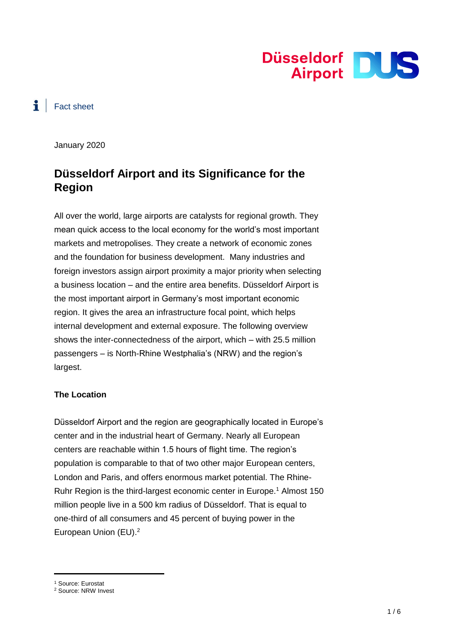

## $\ddot{\bullet}$  Fact sheet

January 2020

# **Düsseldorf Airport and its Significance for the Region**

All over the world, large airports are catalysts for regional growth. They mean quick access to the local economy for the world's most important markets and metropolises. They create a network of economic zones and the foundation for business development. Many industries and foreign investors assign airport proximity a major priority when selecting a business location – and the entire area benefits. Düsseldorf Airport is the most important airport in Germany's most important economic region. It gives the area an infrastructure focal point, which helps internal development and external exposure. The following overview shows the inter-connectedness of the airport, which – with 25.5 million passengers – is North-Rhine Westphalia's (NRW) and the region's largest.

#### **The Location**

Düsseldorf Airport and the region are geographically located in Europe's center and in the industrial heart of Germany. Nearly all European centers are reachable within 1.5 hours of flight time. The region's population is comparable to that of two other major European centers, London and Paris, and offers enormous market potential. The Rhine-Ruhr Region is the third-largest economic center in Europe.<sup>1</sup> Almost 150 million people live in a 500 km radius of Düsseldorf. That is equal to one-third of all consumers and 45 percent of buying power in the European Union (EU).<sup>2</sup>

<sup>1</sup> Source: Eurostat

<sup>2</sup> Source: NRW Invest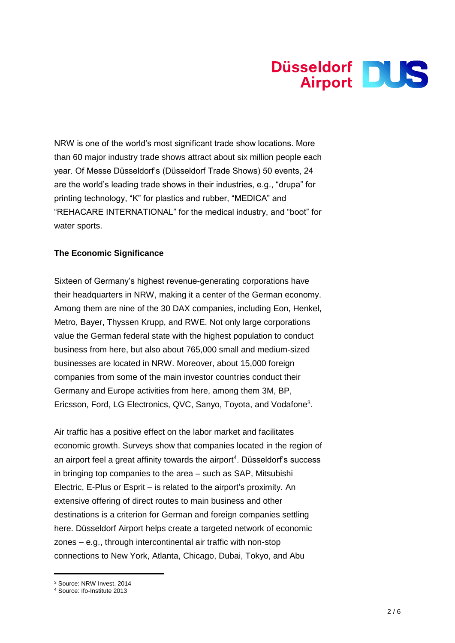

NRW is one of the world's most significant trade show locations. More than 60 major industry trade shows attract about six million people each year. Of Messe Düsseldorf's (Düsseldorf Trade Shows) 50 events, 24 are the world's leading trade shows in their industries, e.g., "drupa" for printing technology, "K" for plastics and rubber, "MEDICA" and "REHACARE INTERNATIONAL" for the medical industry, and "boot" for water sports.

#### **The Economic Significance**

Sixteen of Germany's highest revenue-generating corporations have their headquarters in NRW, making it a center of the German economy. Among them are nine of the 30 DAX companies, including Eon, Henkel, Metro, Bayer, Thyssen Krupp, and RWE. Not only large corporations value the German federal state with the highest population to conduct business from here, but also about 765,000 small and medium-sized businesses are located in NRW. Moreover, about 15,000 foreign companies from some of the main investor countries conduct their Germany and Europe activities from here, among them 3M, BP, Ericsson, Ford, LG Electronics, QVC, Sanyo, Toyota, and Vodafone<sup>3</sup>.

Air traffic has a positive effect on the labor market and facilitates economic growth. Surveys show that companies located in the region of an airport feel a great affinity towards the airport<sup>4</sup>. Düsseldorf's success in bringing top companies to the area – such as SAP, Mitsubishi Electric, E-Plus or Esprit – is related to the airport's proximity. An extensive offering of direct routes to main business and other destinations is a criterion for German and foreign companies settling here. Düsseldorf Airport helps create a targeted network of economic zones – e.g., through intercontinental air traffic with non-stop connections to New York, Atlanta, Chicago, Dubai, Tokyo, and Abu

<sup>3</sup> Source: NRW Invest, 2014

<sup>4</sup> Source: Ifo-Institute 2013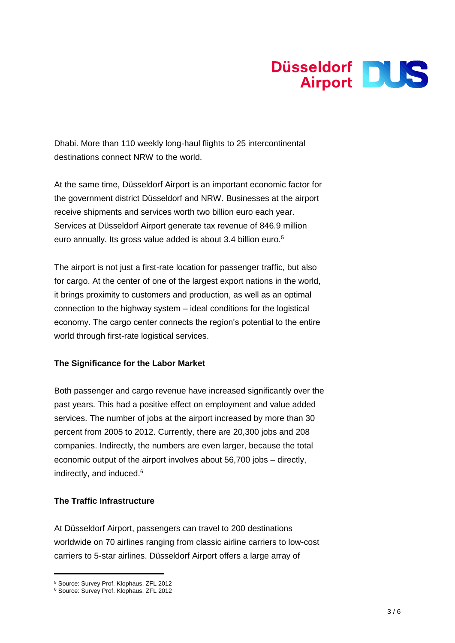

Dhabi. More than 110 weekly long-haul flights to 25 intercontinental destinations connect NRW to the world.

At the same time, Düsseldorf Airport is an important economic factor for the government district Düsseldorf and NRW. Businesses at the airport receive shipments and services worth two billion euro each year. Services at Düsseldorf Airport generate tax revenue of 846.9 million euro annually. Its gross value added is about 3.4 billion euro.<sup>5</sup>

The airport is not just a first-rate location for passenger traffic, but also for cargo. At the center of one of the largest export nations in the world, it brings proximity to customers and production, as well as an optimal connection to the highway system – ideal conditions for the logistical economy. The cargo center connects the region's potential to the entire world through first-rate logistical services.

#### **The Significance for the Labor Market**

Both passenger and cargo revenue have increased significantly over the past years. This had a positive effect on employment and value added services. The number of jobs at the airport increased by more than 30 percent from 2005 to 2012. Currently, there are 20,300 jobs and 208 companies. Indirectly, the numbers are even larger, because the total economic output of the airport involves about 56,700 jobs – directly, indirectly, and induced.<sup>6</sup>

### **The Traffic Infrastructure**

At Düsseldorf Airport, passengers can travel to 200 destinations worldwide on 70 airlines ranging from classic airline carriers to low-cost carriers to 5-star airlines. Düsseldorf Airport offers a large array of

<sup>5</sup> Source: Survey Prof. Klophaus, ZFL 2012

<sup>6</sup> Source: Survey Prof. Klophaus, ZFL 2012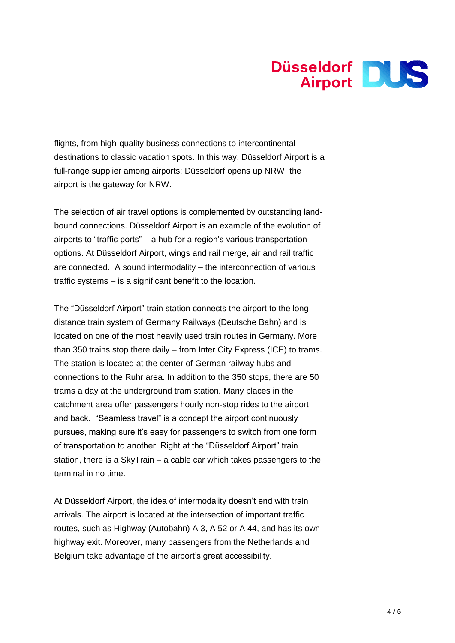

flights, from high-quality business connections to intercontinental destinations to classic vacation spots. In this way, Düsseldorf Airport is a full-range supplier among airports: Düsseldorf opens up NRW; the airport is the gateway for NRW.

The selection of air travel options is complemented by outstanding landbound connections. Düsseldorf Airport is an example of the evolution of airports to "traffic ports" – a hub for a region's various transportation options. At Düsseldorf Airport, wings and rail merge, air and rail traffic are connected. A sound intermodality – the interconnection of various traffic systems – is a significant benefit to the location.

The "Düsseldorf Airport" train station connects the airport to the long distance train system of Germany Railways (Deutsche Bahn) and is located on one of the most heavily used train routes in Germany. More than 350 trains stop there daily – from Inter City Express (ICE) to trams. The station is located at the center of German railway hubs and connections to the Ruhr area. In addition to the 350 stops, there are 50 trams a day at the underground tram station. Many places in the catchment area offer passengers hourly non-stop rides to the airport and back. "Seamless travel" is a concept the airport continuously pursues, making sure it's easy for passengers to switch from one form of transportation to another. Right at the "Düsseldorf Airport" train station, there is a SkyTrain – a cable car which takes passengers to the terminal in no time.

At Düsseldorf Airport, the idea of intermodality doesn't end with train arrivals. The airport is located at the intersection of important traffic routes, such as Highway (Autobahn) A 3, A 52 or A 44, and has its own highway exit. Moreover, many passengers from the Netherlands and Belgium take advantage of the airport's great accessibility.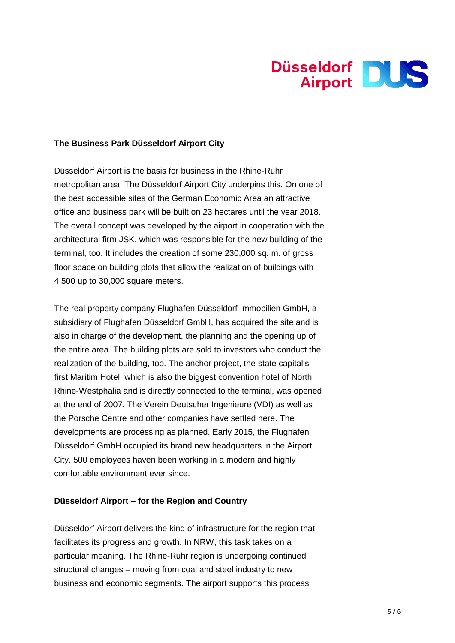

#### **The Business Park Düsseldorf Airport City**

Düsseldorf Airport is the basis for business in the Rhine-Ruhr metropolitan area. The Düsseldorf Airport City underpins this. On one of the best accessible sites of the German Economic Area an attractive office and business park will be built on 23 hectares until the year 2018. The overall concept was developed by the airport in cooperation with the architectural firm JSK, which was responsible for the new building of the terminal, too. It includes the creation of some 230,000 sq. m. of gross floor space on building plots that allow the realization of buildings with 4,500 up to 30,000 square meters.

The real property company Flughafen Düsseldorf Immobilien GmbH, a subsidiary of Flughafen Düsseldorf GmbH, has acquired the site and is also in charge of the development, the planning and the opening up of the entire area. The building plots are sold to investors who conduct the realization of the building, too. The anchor project, the state capital's first Maritim Hotel, which is also the biggest convention hotel of North Rhine-Westphalia and is directly connected to the terminal, was opened at the end of 2007. The Verein Deutscher Ingenieure (VDI) as well as the Porsche Centre and other companies have settled here. The developments are processing as planned. Early 2015, the Flughafen Düsseldorf GmbH occupied its brand new headquarters in the Airport City. 500 employees haven been working in a modern and highly comfortable environment ever since.

#### **Düsseldorf Airport – for the Region and Country**

Düsseldorf Airport delivers the kind of infrastructure for the region that facilitates its progress and growth. In NRW, this task takes on a particular meaning. The Rhine-Ruhr region is undergoing continued structural changes – moving from coal and steel industry to new business and economic segments. The airport supports this process